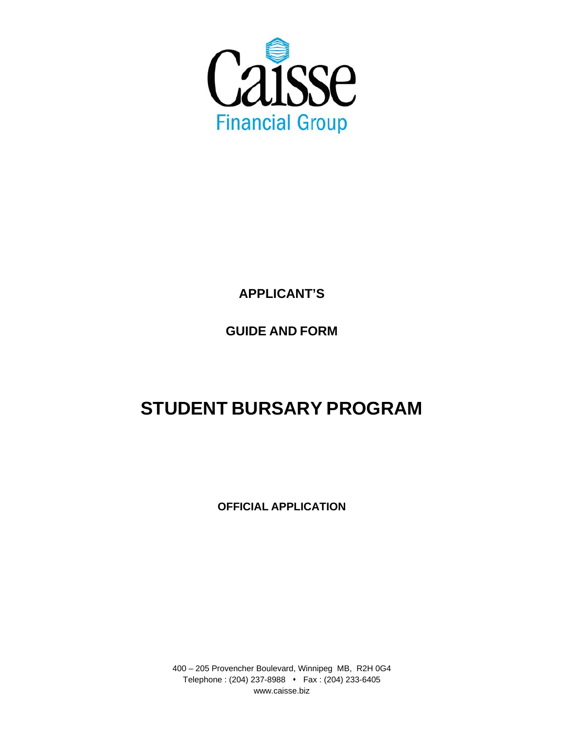

**APPLICANT'S**

**GUIDE AND FORM** 

# **STUDENT BURSARY PROGRAM**

**OFFICIAL APPLICATION**

400 – 205 Provencher Boulevard, Winnipeg MB, R2H 0G4 Telephone: (204) 237-8988 • Fax: (204) 233-6405 www.caisse.biz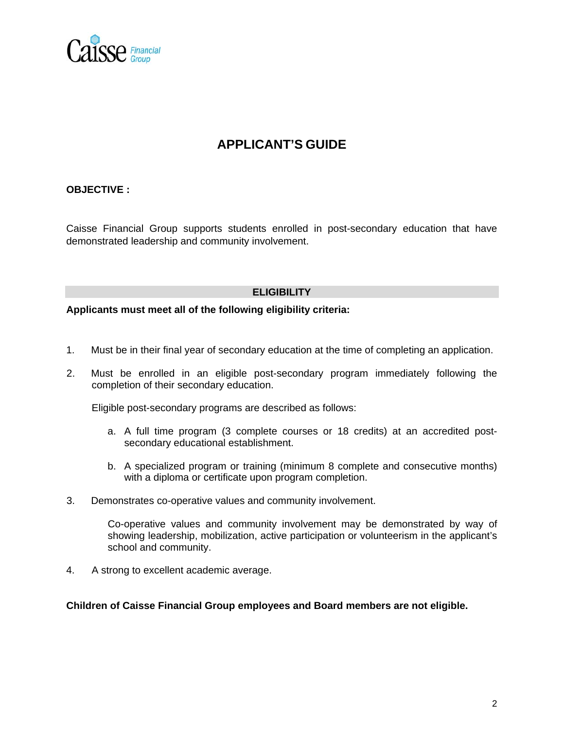

## **APPLICANT'S GUIDE**

#### **OBJECTIVE :**

Caisse Financial Group supports students enrolled in post-secondary education that have demonstrated leadership and community involvement.

#### **ELIGIBILITY**

#### **Applicants must meet all of the following eligibility criteria:**

- 1. Must be in their final year of secondary education at the time of completing an application.
- 2. Must be enrolled in an eligible post-secondary program immediately following the completion of their secondary education.

Eligible post-secondary programs are described as follows:

- a. A full time program (3 complete courses or 18 credits) at an accredited postsecondary educational establishment.
- b. A specialized program or training (minimum 8 complete and consecutive months) with a diploma or certificate upon program completion.
- 3. Demonstrates co-operative values and community involvement.

Co-operative values and community involvement may be demonstrated by way of showing leadership, mobilization, active participation or volunteerism in the applicant's school and community.

4. A strong to excellent academic average.

**Children of Caisse Financial Group employees and Board members are not eligible.**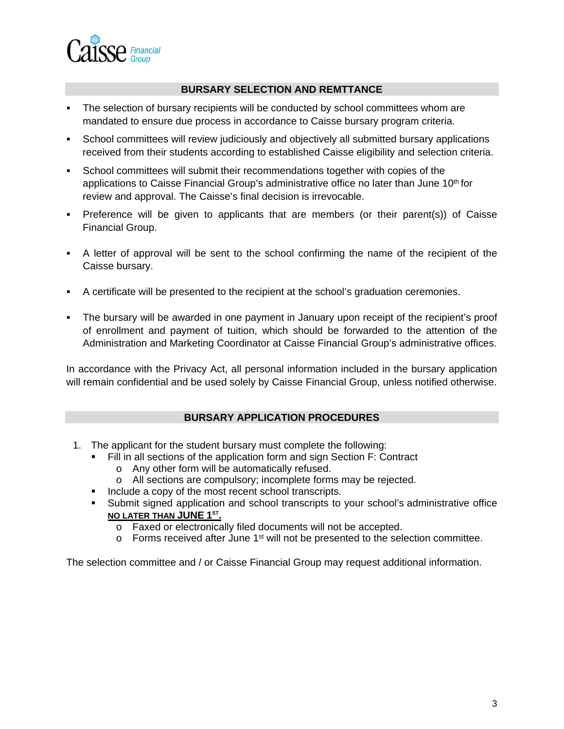

#### **BURSARY SELECTION AND REMTTANCE**

- The selection of bursary recipients will be conducted by school committees whom are mandated to ensure due process in accordance to Caisse bursary program criteria.
- School committees will review judiciously and objectively all submitted bursary applications received from their students according to established Caisse eligibility and selection criteria.
- School committees will submit their recommendations together with copies of the applications to Caisse Financial Group's administrative office no later than June  $10<sup>th</sup>$  for review and approval. The Caisse's final decision is irrevocable.
- Preference will be given to applicants that are members (or their parent(s)) of Caisse Financial Group.
- A letter of approval will be sent to the school confirming the name of the recipient of the Caisse bursary.
- A certificate will be presented to the recipient at the school's graduation ceremonies.
- The bursary will be awarded in one payment in January upon receipt of the recipient's proof of enrollment and payment of tuition, which should be forwarded to the attention of the Administration and Marketing Coordinator at Caisse Financial Group's administrative offices.

In accordance with the Privacy Act, all personal information included in the bursary application will remain confidential and be used solely by Caisse Financial Group, unless notified otherwise.

#### **BURSARY APPLICATION PROCEDURES**

- 1. The applicant for the student bursary must complete the following:
	- Fill in all sections of the application form and sign Section F: Contract
		- o Any other form will be automatically refused.
		- o All sections are compulsory; incomplete forms may be rejected.
	- Include a copy of the most recent school transcripts.
	- Submit signed application and school transcripts to your school's administrative office **NO LATER THAN JUNE 1ST.**
		- o Faxed or electronically filed documents will not be accepted.
		- $\circ$  Forms received after June 1<sup>st</sup> will not be presented to the selection committee.

The selection committee and / or Caisse Financial Group may request additional information.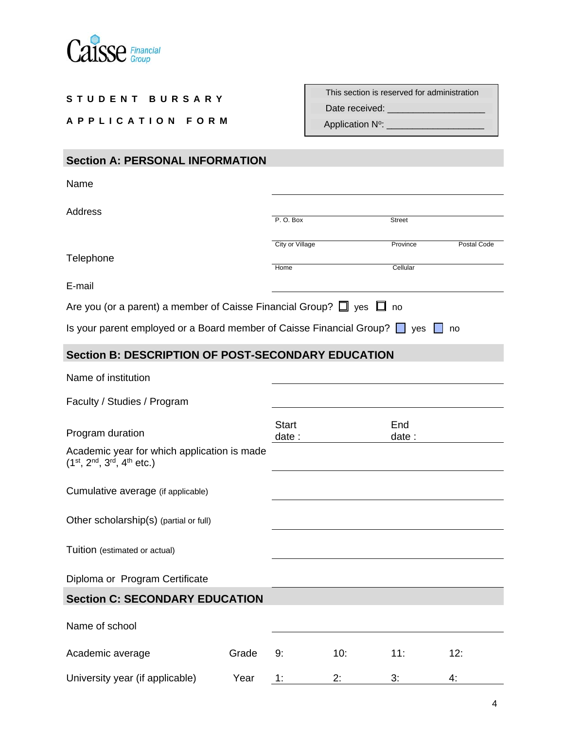

| STUDENT BURSARY                                                                                                             |                       | This section is reserved for administration          |               |             |
|-----------------------------------------------------------------------------------------------------------------------------|-----------------------|------------------------------------------------------|---------------|-------------|
| APPLICATION FORM                                                                                                            |                       | Date received: _________<br>Application N°: ________ |               |             |
|                                                                                                                             |                       |                                                      |               |             |
| <b>Section A: PERSONAL INFORMATION</b>                                                                                      |                       |                                                      |               |             |
| Name                                                                                                                        |                       |                                                      |               |             |
| <b>Address</b>                                                                                                              | P.O. Box              |                                                      | <b>Street</b> |             |
|                                                                                                                             | City or Village       |                                                      | Province      | Postal Code |
| Telephone                                                                                                                   | Home                  |                                                      | Cellular      |             |
| E-mail                                                                                                                      |                       |                                                      |               |             |
| Are you (or a parent) a member of Caisse Financial Group? $\square$ yes $\square$ no                                        |                       |                                                      |               |             |
| Is your parent employed or a Board member of Caisse Financial Group? $\Box$ yes $\Box$ no                                   |                       |                                                      |               |             |
| <b>Section B: DESCRIPTION OF POST-SECONDARY EDUCATION</b>                                                                   |                       |                                                      |               |             |
| Name of institution                                                                                                         |                       |                                                      |               |             |
| Faculty / Studies / Program                                                                                                 |                       |                                                      |               |             |
| Program duration                                                                                                            | <b>Start</b><br>date: |                                                      | End<br>date : |             |
| Academic year for which application is made<br>(1 <sup>st</sup> , 2 <sup>nd</sup> , 3 <sup>rd</sup> , 4 <sup>th</sup> etc.) |                       |                                                      |               |             |
| Cumulative average (if applicable)                                                                                          |                       |                                                      |               |             |
| Other scholarship(s) (partial or full)                                                                                      |                       |                                                      |               |             |
| Tuition (estimated or actual)                                                                                               |                       |                                                      |               |             |
| Diploma or Program Certificate                                                                                              |                       |                                                      |               |             |
| <b>Section C: SECONDARY EDUCATION</b>                                                                                       |                       |                                                      |               |             |
| Name of school                                                                                                              |                       |                                                      |               |             |
| Grade<br>Academic average                                                                                                   | 9:                    | 10:                                                  | 11:           | 12:         |

Г

University year (if applicable)  $\overline{1}$  Year  $\overline{1}$   $\overline{2}$   $\overline{2}$   $\overline{3}$   $\overline{4}$   $\overline{4}$   $\overline{4}$ 

┓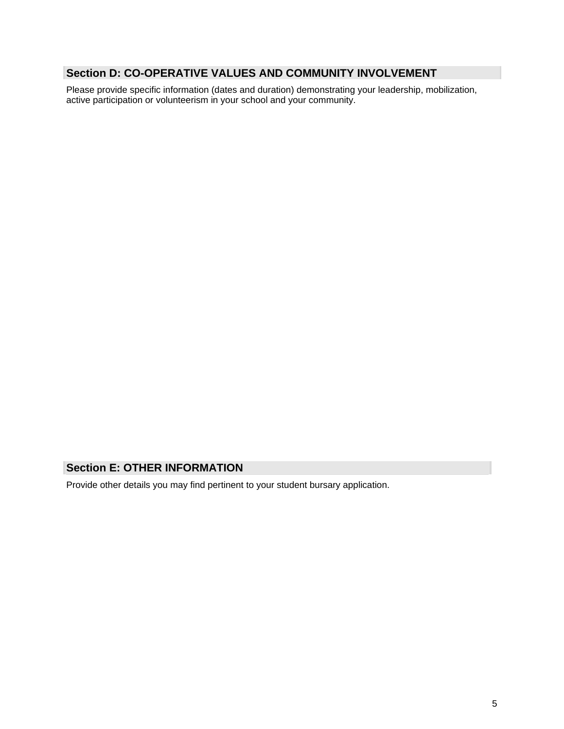## **Section D: CO-OPERATIVE VALUES AND COMMUNITY INVOLVEMENT**

Please provide specific information (dates and duration) demonstrating your leadership, mobilization, active participation or volunteerism in your school and your community.

### **Section E: OTHER INFORMATION**

Provide other details you may find pertinent to your student bursary application.